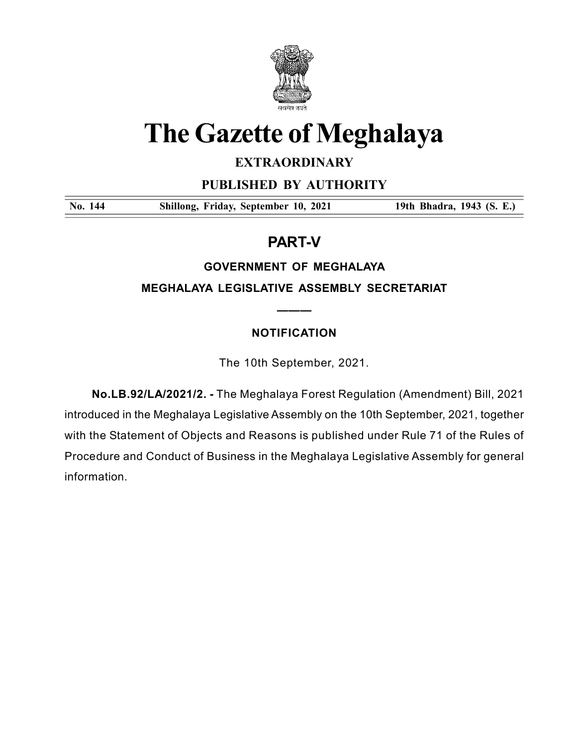

# The Gazette of Meghalaya

# EXTRAORDINARY

PUBLISHED BY AUTHORITY

No. 144 Shillong, Friday, September 10, 2021 19th Bhadra, 1943 (S. E.)

# PART-V

# GOVERNMENT OF MEGHALAYA

MEGHALAYA LEGISLATIVE ASSEMBLY SECRETARIAT

# NOTIFICATION

———

The 10th September, 2021.

No.LB.92/LA/2021/2. - The Meghalaya Forest Regulation (Amendment) Bill, 2021 introduced in the Meghalaya Legislative Assembly on the 10th September, 2021, together with the Statement of Objects and Reasons is published under Rule 71 of the Rules of Procedure and Conduct of Business in the Meghalaya Legislative Assembly for general information.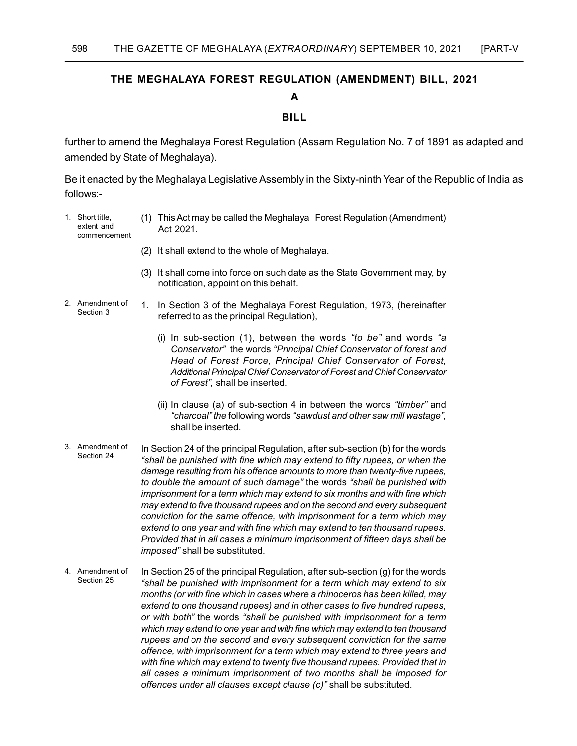# THE MEGHALAYA FOREST REGULATION (AMENDMENT) BILL, 2021

## A

# BILL

further to amend the Meghalaya Forest Regulation (Assam Regulation No. 7 of 1891 as adapted and amended by State of Meghalaya).

Be it enacted by the Meghalaya Legislative Assembly in the Sixty-ninth Year of the Republic of India as follows:-

- 1. Short title, extent and commencement (1) This Act may be called the Meghalaya Forest Regulation (Amendment) Act 2021.
	- (2) It shall extend to the whole of Meghalaya.
	- (3) It shall come into force on such date as the State Government may, by notification, appoint on this behalf.
- 1. In Section 3 of the Meghalaya Forest Regulation, 1973, (hereinafter referred to as the principal Regulation), 2. Amendment of Section 3
	- (i) In sub-section  $(1)$ , between the words "to be" and words "a Conservator" the words "Principal Chief Conservator of forest and Head of Forest Force, Principal Chief Conservator of Forest, Additional Principal Chief Conservator of Forest and Chief Conservator of Forest", shall be inserted.
	- (ii) In clause (a) of sub-section 4 in between the words "timber" and "charcoal" the following words "sawdust and other saw mill wastage", shall be inserted.
- In Section 24 of the principal Regulation, after sub-section (b) for the words "shall be punished with fine which may extend to fifty rupees, or when the damage resulting from his offence amounts to more than twenty-five rupees, to double the amount of such damage" the words "shall be punished with imprisonment for a term which may extend to six months and with fine which may extend to five thousand rupees and on the second and every subsequent conviction for the same offence, with imprisonment for a term which may extend to one year and with fine which may extend to ten thousand rupees. Provided that in all cases a minimum imprisonment of fifteen days shall be imposed" shall be substituted. 3. Amendment of Section 24
- In Section 25 of the principal Regulation, after sub-section (g) for the words "shall be punished with imprisonment for a term which may extend to six months (or with fine which in cases where a rhinoceros has been killed, may extend to one thousand rupees) and in other cases to five hundred rupees, or with both" the words "shall be punished with imprisonment for a term which may extend to one year and with fine which may extend to ten thousand rupees and on the second and every subsequent conviction for the same offence, with imprisonment for a term which may extend to three years and with fine which may extend to twenty five thousand rupees. Provided that in all cases a minimum imprisonment of two months shall be imposed for offences under all clauses except clause (c)" shall be substituted. 4. Amendment of Section 25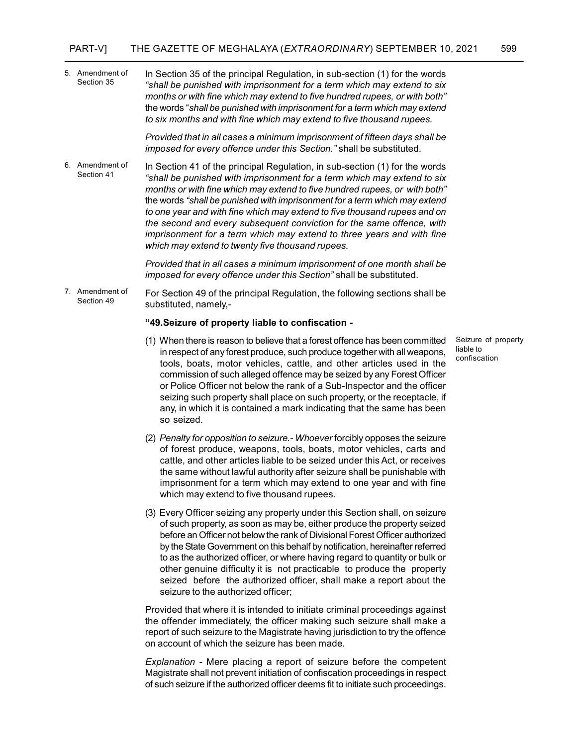In Section 35 of the principal Regulation, in sub-section (1) for the words "shall be punished with imprisonment for a term which may extend to six months or with fine which may extend to five hundred rupees, or with both" the words "shall be punished with imprisonment for a term which may extend to six months and with fine which may extend to five thousand rupees. 5. Amendment of Section 35

> Provided that in all cases a minimum imprisonment of fifteen days shall be imposed for every offence under this Section." shall be substituted.

In Section 41 of the principal Regulation, in sub-section (1) for the words "shall be punished with imprisonment for a term which may extend to six months or with fine which may extend to five hundred rupees, or with both" the words "shall be punished with imprisonment for a term which may extend to one year and with fine which may extend to five thousand rupees and on the second and every subsequent conviction for the same offence, with imprisonment for a term which may extend to three years and with fine which may extend to twenty five thousand rupees. 6. Amendment of Section 41

> Provided that in all cases a minimum imprisonment of one month shall be imposed for every offence under this Section" shall be substituted.

For Section 49 of the principal Regulation, the following sections shall be substituted, namely,- 7. Amendment of Section 49

#### "49.Seizure of property liable to confiscation -

- (1) When there is reason to believe that a forest offence has been committed in respect of any forest produce, such produce together with all weapons, tools, boats, motor vehicles, cattle, and other articles used in the commission of such alleged offence may be seized by any Forest Officer or Police Officer not below the rank of a Sub-Inspector and the officer seizing such property shall place on such property, or the receptacle, if any, in which it is contained a mark indicating that the same has been so seized.
- (2) Penalty for opposition to seizure.- Whoever forcibly opposes the seizure of forest produce, weapons, tools, boats, motor vehicles, carts and cattle, and other articles liable to be seized under this Act, or receives the same without lawful authority after seizure shall be punishable with imprisonment for a term which may extend to one year and with fine which may extend to five thousand rupees.
- (3) Every Officer seizing any property under this Section shall, on seizure of such property, as soon as may be, either produce the property seized before an Officer not below the rank of Divisional Forest Officer authorized by the State Government on this behalf by notification, hereinafter referred to as the authorized officer, or where having regard to quantity or bulk or other genuine difficulty it is not practicable to produce the property seized before the authorized officer, shall make a report about the seizure to the authorized officer;

Provided that where it is intended to initiate criminal proceedings against the offender immediately, the officer making such seizure shall make a report of such seizure to the Magistrate having jurisdiction to try the offence on account of which the seizure has been made.

Explanation - Mere placing a report of seizure before the competent Magistrate shall not prevent initiation of confiscation proceedings in respect of such seizure if the authorized officer deems fit to initiate such proceedings.

Seizure of property liable to confiscation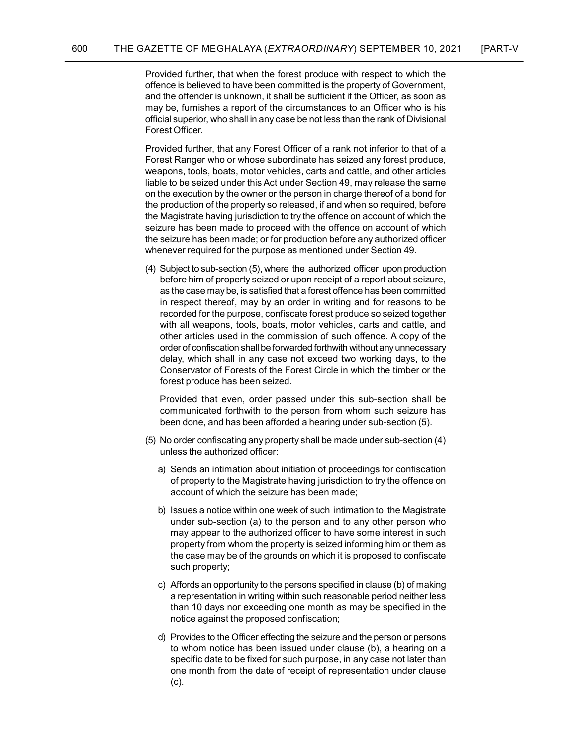Provided further, that when the forest produce with respect to which the offence is believed to have been committed is the property of Government, and the offender is unknown, it shall be sufficient if the Officer, as soon as may be, furnishes a report of the circumstances to an Officer who is his official superior, who shall in any case be not less than the rank of Divisional Forest Officer.

Provided further, that any Forest Officer of a rank not inferior to that of a Forest Ranger who or whose subordinate has seized any forest produce, weapons, tools, boats, motor vehicles, carts and cattle, and other articles liable to be seized under this Act under Section 49, may release the same on the execution by the owner or the person in charge thereof of a bond for the production of the property so released, if and when so required, before the Magistrate having jurisdiction to try the offence on account of which the seizure has been made to proceed with the offence on account of which the seizure has been made; or for production before any authorized officer whenever required for the purpose as mentioned under Section 49.

(4) Subject to sub-section (5), where the authorized officer upon production before him of property seized or upon receipt of a report about seizure, as the case may be, is satisfied that a forest offence has been committed in respect thereof, may by an order in writing and for reasons to be recorded for the purpose, confiscate forest produce so seized together with all weapons, tools, boats, motor vehicles, carts and cattle, and other articles used in the commission of such offence. A copy of the order of confiscation shall be forwarded forthwith without any unnecessary delay, which shall in any case not exceed two working days, to the Conservator of Forests of the Forest Circle in which the timber or the forest produce has been seized.

Provided that even, order passed under this sub-section shall be communicated forthwith to the person from whom such seizure has been done, and has been afforded a hearing under sub-section (5).

- (5) No order confiscating any property shall be made under sub-section (4) unless the authorized officer:
	- a) Sends an intimation about initiation of proceedings for confiscation of property to the Magistrate having jurisdiction to try the offence on account of which the seizure has been made;
	- b) Issues a notice within one week of such intimation to the Magistrate under sub-section (a) to the person and to any other person who may appear to the authorized officer to have some interest in such property from whom the property is seized informing him or them as the case may be of the grounds on which it is proposed to confiscate such property;
	- c) Affords an opportunity to the persons specified in clause (b) of making a representation in writing within such reasonable period neither less than 10 days nor exceeding one month as may be specified in the notice against the proposed confiscation;
	- d) Provides to the Officer effecting the seizure and the person or persons to whom notice has been issued under clause (b), a hearing on a specific date to be fixed for such purpose, in any case not later than one month from the date of receipt of representation under clause (c).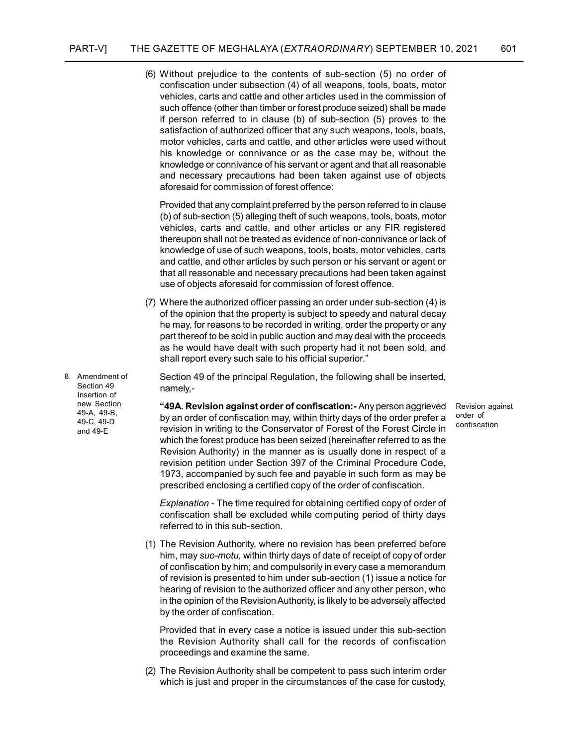(6) Without prejudice to the contents of sub-section (5) no order of confiscation under subsection (4) of all weapons, tools, boats, motor vehicles, carts and cattle and other articles used in the commission of such offence (other than timber or forest produce seized) shall be made if person referred to in clause (b) of sub-section (5) proves to the satisfaction of authorized officer that any such weapons, tools, boats, motor vehicles, carts and cattle, and other articles were used without his knowledge or connivance or as the case may be, without the knowledge or connivance of his servant or agent and that all reasonable and necessary precautions had been taken against use of objects aforesaid for commission of forest offence:

Provided that any complaint preferred by the person referred to in clause (b) of sub-section (5) alleging theft of such weapons, tools, boats, motor vehicles, carts and cattle, and other articles or any FIR registered thereupon shall not be treated as evidence of non-connivance or lack of knowledge of use of such weapons, tools, boats, motor vehicles, carts and cattle, and other articles by such person or his servant or agent or that all reasonable and necessary precautions had been taken against use of objects aforesaid for commission of forest offence.

- (7) Where the authorized officer passing an order under sub-section (4) is of the opinion that the property is subject to speedy and natural decay he may, for reasons to be recorded in writing, order the property or any part thereof to be sold in public auction and may deal with the proceeds as he would have dealt with such property had it not been sold, and shall report every such sale to his official superior."
	- Section 49 of the principal Regulation, the following shall be inserted, namely,-

Revision against order of confiscation

"49A. Revision against order of confiscation:- Any person aggrieved by an order of confiscation may, within thirty days of the order prefer a revision in writing to the Conservator of Forest of the Forest Circle in which the forest produce has been seized (hereinafter referred to as the Revision Authority) in the manner as is usually done in respect of a revision petition under Section 397 of the Criminal Procedure Code, 1973, accompanied by such fee and payable in such form as may be prescribed enclosing a certified copy of the order of confiscation.

Explanation - The time required for obtaining certified copy of order of confiscation shall be excluded while computing period of thirty days referred to in this sub-section.

(1) The Revision Authority, where no revision has been preferred before him, may suo-motu, within thirty days of date of receipt of copy of order of confiscation by him; and compulsorily in every case a memorandum of revision is presented to him under sub-section (1) issue a notice for hearing of revision to the authorized officer and any other person, who in the opinion of the Revision Authority, is likely to be adversely affected by the order of confiscation.

Provided that in every case a notice is issued under this sub-section the Revision Authority shall call for the records of confiscation proceedings and examine the same.

(2) The Revision Authority shall be competent to pass such interim order which is just and proper in the circumstances of the case for custody,

8. Amendment of Section 49 Insertion of new Section 49-A, 49-B, 49-C, 49-D and 49-E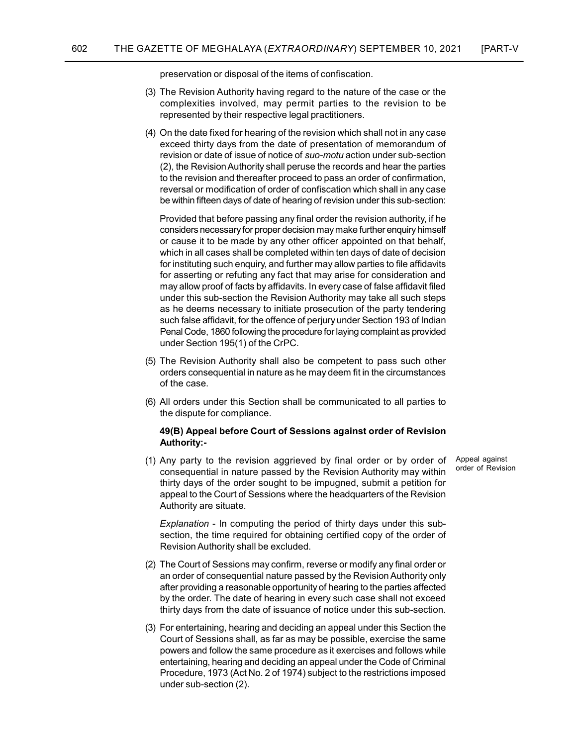preservation or disposal of the items of confiscation.

- (3) The Revision Authority having regard to the nature of the case or the complexities involved, may permit parties to the revision to be represented by their respective legal practitioners.
- (4) On the date fixed for hearing of the revision which shall not in any case exceed thirty days from the date of presentation of memorandum of revision or date of issue of notice of suo-motu action under sub-section (2), the Revision Authority shall peruse the records and hear the parties to the revision and thereafter proceed to pass an order of confirmation, reversal or modification of order of confiscation which shall in any case be within fifteen days of date of hearing of revision under this sub-section:

Provided that before passing any final order the revision authority, if he considers necessary for proper decision may make further enquiry himself or cause it to be made by any other officer appointed on that behalf, which in all cases shall be completed within ten days of date of decision for instituting such enquiry, and further may allow parties to file affidavits for asserting or refuting any fact that may arise for consideration and may allow proof of facts by affidavits. In every case of false affidavit filed under this sub-section the Revision Authority may take all such steps as he deems necessary to initiate prosecution of the party tendering such false affidavit, for the offence of perjury under Section 193 of Indian Penal Code, 1860 following the procedure for laying complaint as provided under Section 195(1) of the CrPC.

- (5) The Revision Authority shall also be competent to pass such other orders consequential in nature as he may deem fit in the circumstances of the case.
- (6) All orders under this Section shall be communicated to all parties to the dispute for compliance.

### 49(B) Appeal before Court of Sessions against order of Revision Authority:-

(1) Any party to the revision aggrieved by final order or by order of consequential in nature passed by the Revision Authority may within thirty days of the order sought to be impugned, submit a petition for appeal to the Court of Sessions where the headquarters of the Revision Authority are situate.

Appeal against order of Revision

Explanation - In computing the period of thirty days under this subsection, the time required for obtaining certified copy of the order of Revision Authority shall be excluded.

- (2) The Court of Sessions may confirm, reverse or modify any final order or an order of consequential nature passed by the Revision Authority only after providing a reasonable opportunity of hearing to the parties affected by the order. The date of hearing in every such case shall not exceed thirty days from the date of issuance of notice under this sub-section.
- (3) For entertaining, hearing and deciding an appeal under this Section the Court of Sessions shall, as far as may be possible, exercise the same powers and follow the same procedure as it exercises and follows while entertaining, hearing and deciding an appeal under the Code of Criminal Procedure, 1973 (Act No. 2 of 1974) subject to the restrictions imposed under sub-section (2).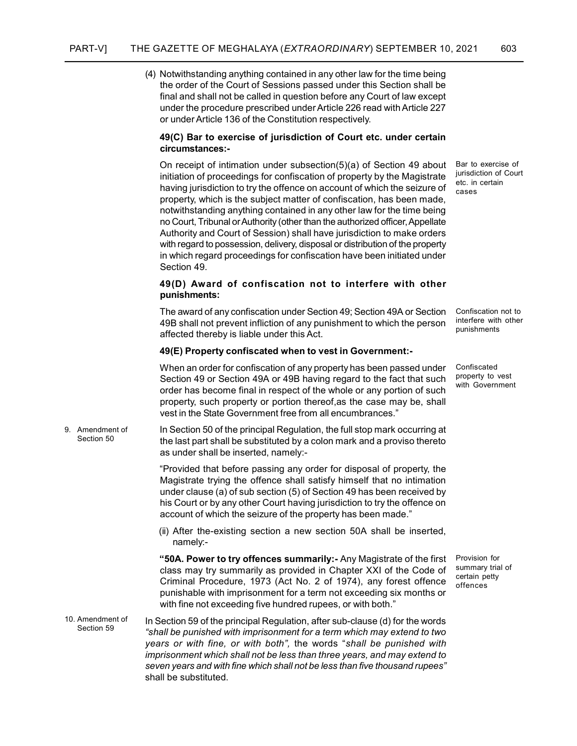(4) Notwithstanding anything contained in any other law for the time being the order of the Court of Sessions passed under this Section shall be final and shall not be called in question before any Court of law except under the procedure prescribed under Article 226 read with Article 227 or under Article 136 of the Constitution respectively.

### 49(C) Bar to exercise of jurisdiction of Court etc. under certain circumstances:-

On receipt of intimation under subsection(5)(a) of Section 49 about initiation of proceedings for confiscation of property by the Magistrate having jurisdiction to try the offence on account of which the seizure of property, which is the subject matter of confiscation, has been made, notwithstanding anything contained in any other law for the time being no Court, Tribunal or Authority (other than the authorized officer, Appellate Authority and Court of Session) shall have jurisdiction to make orders with regard to possession, delivery, disposal or distribution of the property in which regard proceedings for confiscation have been initiated under Section 49.

### 49(D) Award of confiscation not to interfere with other punishments:

The award of any confiscation under Section 49; Section 49A or Section 49B shall not prevent infliction of any punishment to which the person affected thereby is liable under this Act.

#### 49(E) Property confiscated when to vest in Government:-

When an order for confiscation of any property has been passed under Section 49 or Section 49A or 49B having regard to the fact that such order has become final in respect of the whole or any portion of such property, such property or portion thereof,as the case may be, shall vest in the State Government free from all encumbrances."

In Section 50 of the principal Regulation, the full stop mark occurring at the last part shall be substituted by a colon mark and a proviso thereto as under shall be inserted, namely:- 9. Amendment of Section 50

> "Provided that before passing any order for disposal of property, the Magistrate trying the offence shall satisfy himself that no intimation under clause (a) of sub section (5) of Section 49 has been received by his Court or by any other Court having jurisdiction to try the offence on account of which the seizure of the property has been made."

> (ii) After the-existing section a new section 50A shall be inserted, namely:-

"50A. Power to try offences summarily:- Any Magistrate of the first class may try summarily as provided in Chapter XXI of the Code of Criminal Procedure, 1973 (Act No. 2 of 1974), any forest offence punishable with imprisonment for a term not exceeding six months or with fine not exceeding five hundred rupees, or with both."

In Section 59 of the principal Regulation, after sub-clause (d) for the words "shall be punished with imprisonment for a term which may extend to two years or with fine, or with both", the words "shall be punished with imprisonment which shall not be less than three years, and may extend to seven years and with fine which shall not be less than five thousand rupees" shall be substituted. 10. Amendment of Section 59

Bar to exercise of jurisdiction of Court etc. in certain cases

Confiscation not to interfere with other punishments

Confiscated property to vest with Government

Provision for summary trial of certain petty offences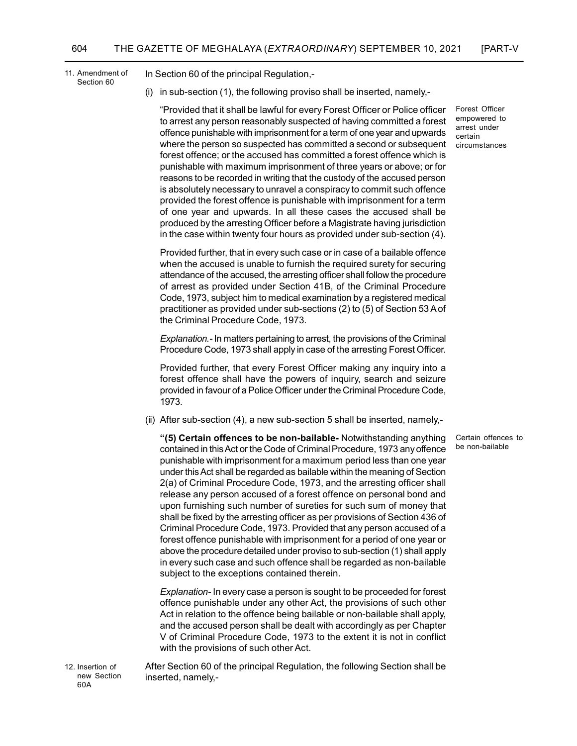11. Amendment of Section 60

In Section 60 of the principal Regulation,-

(i) in sub-section (1), the following proviso shall be inserted, namely,-

"Provided that it shall be lawful for every Forest Officer or Police officer to arrest any person reasonably suspected of having committed a forest offence punishable with imprisonment for a term of one year and upwards where the person so suspected has committed a second or subsequent forest offence; or the accused has committed a forest offence which is punishable with maximum imprisonment of three years or above; or for reasons to be recorded in writing that the custody of the accused person is absolutely necessary to unravel a conspiracy to commit such offence provided the forest offence is punishable with imprisonment for a term of one year and upwards. In all these cases the accused shall be produced by the arresting Officer before a Magistrate having jurisdiction in the case within twenty four hours as provided under sub-section (4).

Forest Officer empowered to arrest under certain circumstances

Certain offences to be non-bailable

Provided further, that in every such case or in case of a bailable offence when the accused is unable to furnish the required surety for securing attendance of the accused, the arresting officer shall follow the procedure of arrest as provided under Section 41B, of the Criminal Procedure Code, 1973, subject him to medical examination by a registered medical practitioner as provided under sub-sections (2) to (5) of Section 53 A of the Criminal Procedure Code, 1973.

Explanation.- In matters pertaining to arrest, the provisions of the Criminal Procedure Code, 1973 shall apply in case of the arresting Forest Officer.

Provided further, that every Forest Officer making any inquiry into a forest offence shall have the powers of inquiry, search and seizure provided in favour of a Police Officer under the Criminal Procedure Code, 1973.

(ii) After sub-section (4), a new sub-section 5 shall be inserted, namely,-

"(5) Certain offences to be non-bailable- Notwithstanding anything contained in this Act or the Code of Criminal Procedure, 1973 any offence punishable with imprisonment for a maximum period less than one year under this Act shall be regarded as bailable within the meaning of Section 2(a) of Criminal Procedure Code, 1973, and the arresting officer shall release any person accused of a forest offence on personal bond and upon furnishing such number of sureties for such sum of money that shall be fixed by the arresting officer as per provisions of Section 436 of Criminal Procedure Code, 1973. Provided that any person accused of a forest offence punishable with imprisonment for a period of one year or above the procedure detailed under proviso to sub-section (1) shall apply in every such case and such offence shall be regarded as non-bailable subject to the exceptions contained therein.

Explanation- In every case a person is sought to be proceeded for forest offence punishable under any other Act, the provisions of such other Act in relation to the offence being bailable or non-bailable shall apply, and the accused person shall be dealt with accordingly as per Chapter V of Criminal Procedure Code, 1973 to the extent it is not in conflict with the provisions of such other Act.

12. Insertion of new Section 60A

After Section 60 of the principal Regulation, the following Section shall be inserted, namely,-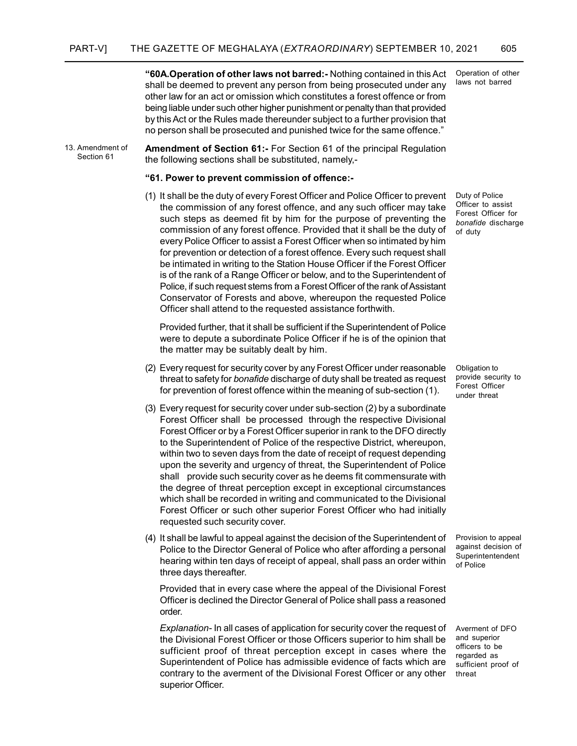"60A.Operation of other laws not barred:- Nothing contained in this Act shall be deemed to prevent any person from being prosecuted under any other law for an act or omission which constitutes a forest offence or from being liable under such other higher punishment or penalty than that provided by this Act or the Rules made thereunder subject to a further provision that no person shall be prosecuted and punished twice for the same offence."

Amendment of Section 61:- For Section 61 of the principal Regulation the following sections shall be substituted, namely,- 13. Amendment of Section 61

#### "61. Power to prevent commission of offence:-

(1) It shall be the duty of every Forest Officer and Police Officer to prevent the commission of any forest offence, and any such officer may take such steps as deemed fit by him for the purpose of preventing the commission of any forest offence. Provided that it shall be the duty of every Police Officer to assist a Forest Officer when so intimated by him for prevention or detection of a forest offence. Every such request shall be intimated in writing to the Station House Officer if the Forest Officer is of the rank of a Range Officer or below, and to the Superintendent of Police, if such request stems from a Forest Officer of the rank of Assistant Conservator of Forests and above, whereupon the requested Police Officer shall attend to the requested assistance forthwith.

Provided further, that it shall be sufficient if the Superintendent of Police were to depute a subordinate Police Officer if he is of the opinion that the matter may be suitably dealt by him.

- (2) Every request for security cover by any Forest Officer under reasonable threat to safety for *bonafide* discharge of duty shall be treated as request for prevention of forest offence within the meaning of sub-section (1).
- (3) Every request for security cover under sub-section (2) by a subordinate Forest Officer shall be processed through the respective Divisional Forest Officer or by a Forest Officer superior in rank to the DFO directly to the Superintendent of Police of the respective District, whereupon, within two to seven days from the date of receipt of request depending upon the severity and urgency of threat, the Superintendent of Police shall provide such security cover as he deems fit commensurate with the degree of threat perception except in exceptional circumstances which shall be recorded in writing and communicated to the Divisional Forest Officer or such other superior Forest Officer who had initially requested such security cover.
- (4) It shall be lawful to appeal against the decision of the Superintendent of Police to the Director General of Police who after affording a personal hearing within ten days of receipt of appeal, shall pass an order within three days thereafter.

Provided that in every case where the appeal of the Divisional Forest Officer is declined the Director General of Police shall pass a reasoned order.

Explanation- In all cases of application for security cover the request of the Divisional Forest Officer or those Officers superior to him shall be sufficient proof of threat perception except in cases where the Superintendent of Police has admissible evidence of facts which are contrary to the averment of the Divisional Forest Officer or any other superior Officer.

Operation of other laws not barred

Duty of Police Officer to assist Forest Officer for bonafide discharge of duty

Obligation to provide security to Forest Officer under threat

Provision to appeal against decision of Superintentendent of Police

Averment of DFO and superior officers to be regarded as sufficient proof of threat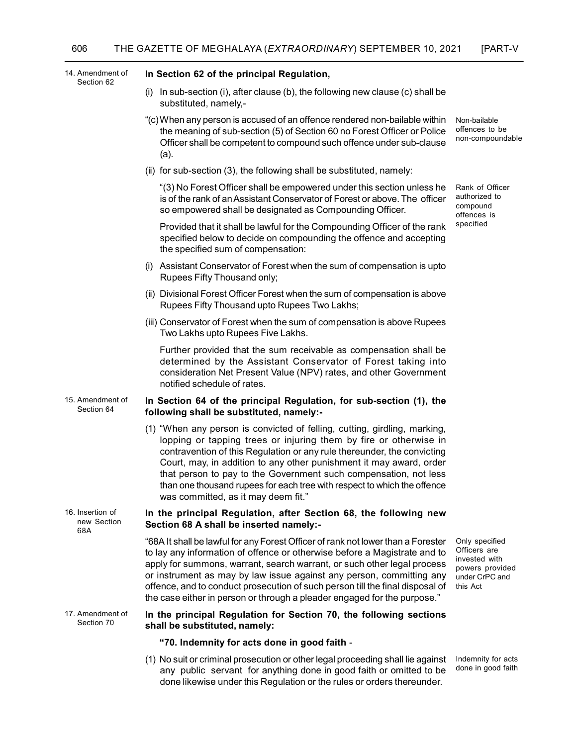| 14. Amendment of<br>Section 62         | In Section 62 of the principal Regulation,                                                                                                                                                                                                                                                                                                                                                                                                                                              |                                                                                                  |
|----------------------------------------|-----------------------------------------------------------------------------------------------------------------------------------------------------------------------------------------------------------------------------------------------------------------------------------------------------------------------------------------------------------------------------------------------------------------------------------------------------------------------------------------|--------------------------------------------------------------------------------------------------|
|                                        | In sub-section (i), after clause (b), the following new clause (c) shall be<br>(i)<br>substituted, namely,-                                                                                                                                                                                                                                                                                                                                                                             |                                                                                                  |
|                                        | "(c) When any person is accused of an offence rendered non-bailable within<br>the meaning of sub-section (5) of Section 60 no Forest Officer or Police<br>Officer shall be competent to compound such offence under sub-clause<br>(a).                                                                                                                                                                                                                                                  | Non-bailable<br>offences to be<br>non-compoundable                                               |
|                                        | (ii) for sub-section (3), the following shall be substituted, namely:                                                                                                                                                                                                                                                                                                                                                                                                                   |                                                                                                  |
|                                        | "(3) No Forest Officer shall be empowered under this section unless he<br>is of the rank of an Assistant Conservator of Forest or above. The officer<br>so empowered shall be designated as Compounding Officer.                                                                                                                                                                                                                                                                        | Rank of Officer<br>authorized to<br>compound<br>offences is<br>specified                         |
|                                        | Provided that it shall be lawful for the Compounding Officer of the rank<br>specified below to decide on compounding the offence and accepting<br>the specified sum of compensation:                                                                                                                                                                                                                                                                                                    |                                                                                                  |
|                                        | (i) Assistant Conservator of Forest when the sum of compensation is upto<br>Rupees Fifty Thousand only;                                                                                                                                                                                                                                                                                                                                                                                 |                                                                                                  |
|                                        | (ii) Divisional Forest Officer Forest when the sum of compensation is above<br>Rupees Fifty Thousand upto Rupees Two Lakhs;                                                                                                                                                                                                                                                                                                                                                             |                                                                                                  |
|                                        | (iii) Conservator of Forest when the sum of compensation is above Rupees<br>Two Lakhs upto Rupees Five Lakhs.                                                                                                                                                                                                                                                                                                                                                                           |                                                                                                  |
|                                        | Further provided that the sum receivable as compensation shall be<br>determined by the Assistant Conservator of Forest taking into<br>consideration Net Present Value (NPV) rates, and other Government<br>notified schedule of rates.                                                                                                                                                                                                                                                  |                                                                                                  |
| 15. Amendment of<br>Section 64         | In Section 64 of the principal Regulation, for sub-section (1), the<br>following shall be substituted, namely:-                                                                                                                                                                                                                                                                                                                                                                         |                                                                                                  |
|                                        | (1) "When any person is convicted of felling, cutting, girdling, marking,<br>lopping or tapping trees or injuring them by fire or otherwise in<br>contravention of this Regulation or any rule thereunder, the convicting<br>Court, may, in addition to any other punishment it may award, order<br>that person to pay to the Government such compensation, not less<br>than one thousand rupees for each tree with respect to which the offence<br>was committed, as it may deem fit." |                                                                                                  |
| 16. Insertion of<br>new Section<br>68A | In the principal Regulation, after Section 68, the following new<br>Section 68 A shall be inserted namely:-                                                                                                                                                                                                                                                                                                                                                                             |                                                                                                  |
|                                        | "68A It shall be lawful for any Forest Officer of rank not lower than a Forester<br>to lay any information of offence or otherwise before a Magistrate and to<br>apply for summons, warrant, search warrant, or such other legal process<br>or instrument as may by law issue against any person, committing any<br>offence, and to conduct prosecution of such person till the final disposal of<br>the case either in person or through a pleader engaged for the purpose."           | Only specified<br>Officers are<br>invested with<br>powers provided<br>under CrPC and<br>this Act |
| 17. Amendment of<br>Section 70         | In the principal Regulation for Section 70, the following sections<br>shall be substituted, namely:                                                                                                                                                                                                                                                                                                                                                                                     |                                                                                                  |
|                                        | "70. Indemnity for acts done in good faith -                                                                                                                                                                                                                                                                                                                                                                                                                                            |                                                                                                  |
|                                        | (1) No suit or criminal prosecution or other legal proceeding shall lie against<br>any public servant for anything done in good faith or omitted to be<br>done likewise under this Regulation or the rules or orders thereunder.                                                                                                                                                                                                                                                        | Indemnity for acts<br>done in good faith                                                         |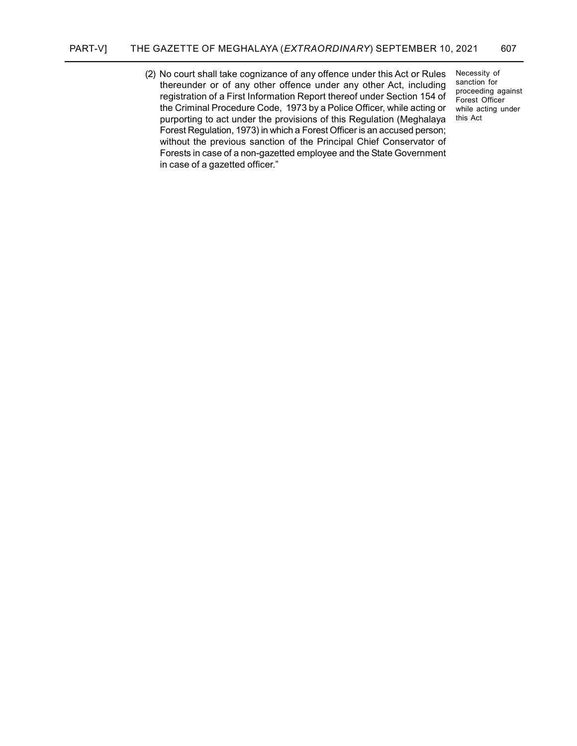(2) No court shall take cognizance of any offence under this Act or Rules thereunder or of any other offence under any other Act, including registration of a First Information Report thereof under Section 154 of the Criminal Procedure Code, 1973 by a Police Officer, while acting or purporting to act under the provisions of this Regulation (Meghalaya Forest Regulation, 1973) in which a Forest Officer is an accused person; without the previous sanction of the Principal Chief Conservator of Forests in case of a non-gazetted employee and the State Government in case of a gazetted officer."

Necessity of sanction for proceeding against Forest Officer while acting under this Act